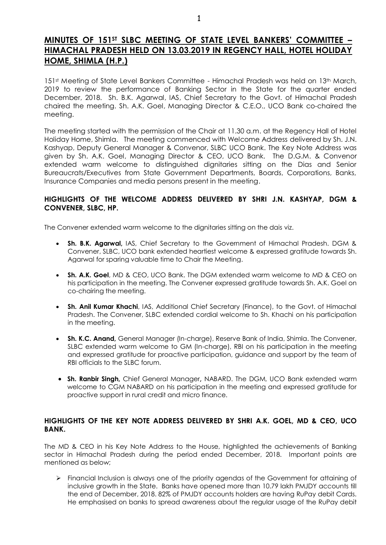# **MINUTES OF 151ST SLBC MEETING OF STATE LEVEL BANKERS' COMMITTEE – HIMACHAL PRADESH HELD ON 13.03.2019 IN REGENCY HALL, HOTEL HOLIDAY HOME, SHIMLA (H.P.)**

151st Meeting of State Level Bankers Committee - Himachal Pradesh was held on 13th March, 2019 to review the performance of Banking Sector in the State for the quarter ended December, 2018. Sh. B.K. Agarwal, IAS, Chief Secretary to the Govt. of Himachal Pradesh chaired the meeting. Sh. A.K. Goel, Managing Director & C.E.O., UCO Bank co-chaired the meeting.

The meeting started with the permission of the Chair at 11.30 a.m. at the Regency Hall of Hotel Holiday Home, Shimla. The meeting commenced with Welcome Address delivered by Sh. J.N. Kashyap, Deputy General Manager & Convenor, SLBC UCO Bank. The Key Note Address was given by Sh. A.K. Goel, Managing Director & CEO, UCO Bank. The D.G.M. & Convenor extended warm welcome to distinguished dignitaries sitting on the Dias and Senior Bureaucrats/Executives from State Government Departments, Boards, Corporations, Banks, Insurance Companies and media persons present in the meeting.

## **HIGHLIGHTS OF THE WELCOME ADDRESS DELIVERED BY SHRI J.N. KASHYAP, DGM & CONVENER, SLBC, HP.**

The Convener extended warm welcome to the dignitaries sitting on the dais viz.

- **Sh. B.K. Agarwal,** IAS, Chief Secretary to the Government of Himachal Pradesh. DGM & Convener, SLBC, UCO bank extended heartiest welcome & expressed gratitude towards Sh. Agarwal for sparing valuable time to Chair the Meeting.
- **Sh. A.K. Goel**, MD & CEO, UCO Bank. The DGM extended warm welcome to MD & CEO on his participation in the meeting. The Convener expressed gratitude towards Sh. A.K. Goel on co-chairing the meeting.
- **Sh. Anil Kumar Khachi**, IAS, Additional Chief Secretary (Finance), to the Govt. of Himachal Pradesh. The Convener, SLBC extended cordial welcome to Sh. Khachi on his participation in the meeting.
- **Sh. K.C. Anand,** General Manager (In-charge), Reserve Bank of India, Shimla. The Convener, SLBC extended warm welcome to GM (In-charge), RBI on his participation in the meeting and expressed gratitude for proactive participation, guidance and support by the team of RBI officials to the SLBC forum.
- **Sh. Ranbir Singh,** Chief General Manager**,** NABARD. The DGM, UCO Bank extended warm welcome to CGM NABARD on his participation in the meeting and expressed gratitude for proactive support in rural credit and micro finance.

## **HIGHLIGHTS OF THE KEY NOTE ADDRESS DELIVERED BY SHRI A.K. GOEL, MD & CEO, UCO BANK.**

The MD & CEO in his Key Note Address to the House, highlighted the achievements of Banking sector in Himachal Pradesh during the period ended December, 2018. Important points are mentioned as below;

 Financial Inclusion is always one of the priority agendas of the Government for attaining of inclusive growth in the State. Banks have opened more than 10.79 lakh PMJDY accounts till the end of December, 2018. 82% of PMJDY accounts holders are having RuPay debit Cards. He emphasised on banks to spread awareness about the regular usage of the RuPay debit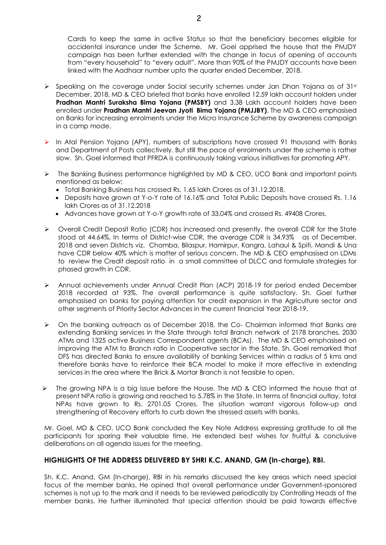Cards to keep the same in active Status so that the beneficiary becomes eligible for accidental insurance under the Scheme. Mr. Goel apprised the house that the PMJDY campaign has been further extended with the change in focus of opening of accounts from "every household" to "every adult". More than 90% of the PMJDY accounts have been linked with the Aadhaar number upto the quarter ended December, 2018.

- $\triangleright$  Speaking on the coverage under Social security schemes under Jan Dhan Yojana as of 31st December, 2018, MD & CEO briefed that banks have enrolled 12.59 lakh account holders under **Pradhan Mantri Suraksha Bima Yojana (PMSBY)** and 3.38 Lakh account holders have been enrolled under **Pradhan Mantri Jeevan Jyoti Bima Yojana (PMJJBY)**. The MD & CEO emphasised on Banks for increasing enrolments under the Micro Insurance Scheme by awareness campaign in a camp mode.
- In Atal Pension Yojana (APY), numbers of subscriptions have crossed 91 thousand with Banks and Department of Posts collectively. But still the pace of enrolments under the scheme is rather slow. Sh. Goel informed that PFRDA is continuously taking various initiatives for promoting APY.
- $\triangleright$  The Banking Business performance highlighted by MD & CEO, UCO Bank and important points mentioned as below;
	- Total Banking Business has crossed Rs. 1.65 lakh Crores as of 31.12.2018.
	- Deposits have grown at Y-o-Y rate of 16.16% and Total Public Deposits have crossed Rs. 1.16 lakh Crores as of 31.12.2018
	- Advances have grown at Y-o-Y growth rate of 33.04% and crossed Rs. 49408 Crores.
- Overall Credit Deposit Ratio (CDR) has increased and presently, the overall CDR for the State stood at 44.64%. In terms of District-wise CDR, the average CDR is 34.93% as of December, 2018 and seven Districts viz. Chamba, Bilaspur, Hamirpur, Kangra, Lahaul & Spiti, Mandi & Una have CDR below 40% which is matter of serious concern. The MD & CEO emphasised on LDMs to review the Credit deposit ratio in a small committee of DLCC and formulate strategies for phased growth in CDR.
- Annual achievements under Annual Credit Plan (ACP) 2018-19 for period ended December 2018 recorded at 93%. The overall performance is quite satisfactory. Sh. Goel further emphasised on banks for paying attention for credit expansion in the Agriculture sector and other segments of Priority Sector Advances in the current financial Year 2018-19.
- $\triangleright$  On the banking outreach as of December 2018, the Co- Chairman informed that Banks are extending Banking services in the State through total Branch network of 2178 branches, 2030 ATMs and 1325 active Business Correspondent agents (BCAs). The MD & CEO emphasised on improving the ATM to Branch ratio in Cooperative sector in the State. Sh. Goel remarked that DFS has directed Banks to ensure availability of banking Services within a radius of 5 kms and therefore banks have to reinforce their BCA model to make it more effective in extending services in the area where the Brick & Mortar Branch is not feasible to open.
- $\triangleright$  The growing NPA is a big issue before the House. The MD & CEO informed the house that at present NPA ratio is growing and reached to 5.78% in the State. In terms of financial outlay, total NPAs have grown to Rs. 2701.05 Crores. The situation warrant vigorous follow-up and strengthening of Recovery efforts to curb down the stressed assets with banks.

Mr. Goel, MD & CEO, UCO Bank concluded the Key Note Address expressing gratitude to all the participants for sparing their valuable time. He extended best wishes for fruitful & conclusive deliberations on all agenda issues for the meeting.

#### **HIGHLIGHTS OF THE ADDRESS DELIVERED BY SHRI K.C. ANAND, GM (In-charge), RBI.**

Sh. K.C. Anand, GM (In-charge), RBI in his remarks discussed the key areas which need special focus of the member banks. He opined that overall performance under Government-sponsored schemes is not up to the mark and it needs to be reviewed periodically by Controlling Heads of the member banks. He further illuminated that special attention should be paid towards effective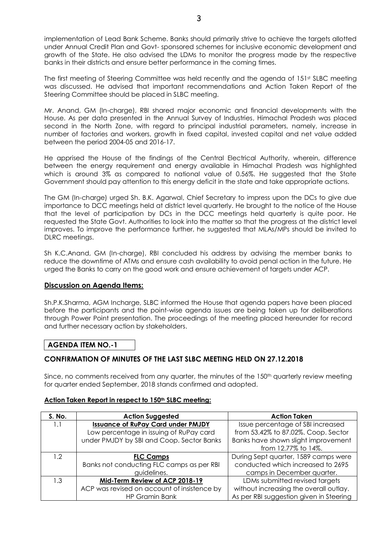implementation of Lead Bank Scheme. Banks should primarily strive to achieve the targets allotted under Annual Credit Plan and Govt- sponsored schemes for inclusive economic development and growth of the State. He also advised the LDMs to monitor the progress made by the respective banks in their districts and ensure better performance in the coming times.

The first meeting of Steering Committee was held recently and the agenda of 151<sup>st</sup> SLBC meeting was discussed. He advised that important recommendations and Action Taken Report of the Steering Committee should be placed in SLBC meeting.

Mr. Anand, GM (In-charge), RBI shared major economic and financial developments with the House. As per data presented in the Annual Survey of Industries, Himachal Pradesh was placed second in the North Zone, with regard to principal industrial parameters, namely, increase in number of factories and workers, growth in fixed capital, invested capital and net value added between the period 2004-05 and 2016-17.

He apprised the House of the findings of the Central Electrical Authority, wherein, difference between the energy requirement and energy available in Himachal Pradesh was highlighted which is around 3% as compared to national value of 0.56%. He suggested that the State Government should pay attention to this energy deficit in the state and take appropriate actions.

The GM (In-charge) urged Sh. B.K. Agarwal, Chief Secretary to impress upon the DCs to give due importance to DCC meetings held at district level quarterly. He brought to the notice of the House that the level of participation by DCs in the DCC meetings held quarterly is quite poor. He requested the State Govt. Authorities to look into the matter so that the progress at the district level improves. To improve the performance further, he suggested that MLAs/MPs should be invited to DLRC meetings.

Sh K.C.Anand, GM (In-charge), RBI concluded his address by advising the member banks to reduce the downtime of ATMs and ensure cash availability to avoid penal action in the future. He urged the Banks to carry on the good work and ensure achievement of targets under ACP.

#### **Discussion on Agenda Items:**

Sh.P.K.Sharma, AGM Incharge, SLBC informed the House that agenda papers have been placed before the participants and the point-wise agenda issues are being taken up for deliberations through Power Point presentation. The proceedings of the meeting placed hereunder for record and further necessary action by stakeholders.

#### **AGENDA ITEM NO.-1**

# **CONFIRMATION OF MINUTES OF THE LAST SLBC MEETING HELD ON 27.12.2018**

Since, no comments received from any quarter, the minutes of the 150<sup>th</sup> quarterly review meeting for quarter ended September, 2018 stands confirmed and adopted.

#### **Action Taken Report in respect to 150th SLBC meeting:**

| S. No.           | <b>Action Suggested</b>                     | <b>Action Taken</b>                     |
|------------------|---------------------------------------------|-----------------------------------------|
| 1.1              | <b>Issuance of RuPay Card under PMJDY</b>   | Issue percentage of SBI increased       |
|                  | Low percentage in issuing of RuPay card     | from 53.42% to 87.02%. Coop. Sector     |
|                  | under PMJDY by SBI and Coop. Sector Banks   | Banks have shown slight improvement     |
|                  |                                             | from 12.77% to 14%.                     |
| 1.2 <sup>°</sup> | <b>FLC Camps</b>                            | During Sept quarter, 1589 camps were    |
|                  | Banks not conducting FLC camps as per RBI   | conducted which increased to 2695       |
|                  | guidelines.                                 | camps in December quarter.              |
| 1.3              | Mid-Term Review of ACP 2018-19              | LDMs submitted revised targets          |
|                  | ACP was revised on account of insistence by | without increasing the overall outlay.  |
|                  | <b>HP Gramin Bank</b>                       | As per RBI suggestion given in Steering |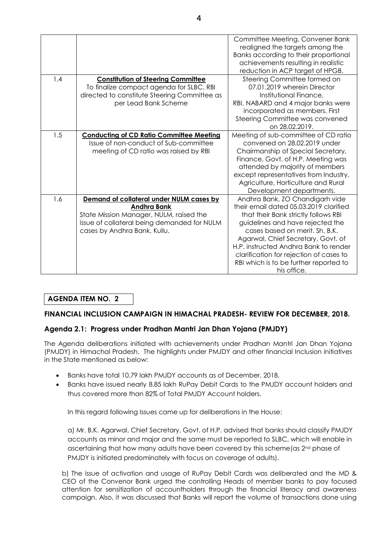|     |                                                 | Committee Meeting, Convener Bank<br>realigned the targets among the<br>Banks according to their proportional<br>achievements resulting in realistic<br>reduction in ACP target of HPGB. |
|-----|-------------------------------------------------|-----------------------------------------------------------------------------------------------------------------------------------------------------------------------------------------|
| 1.4 | <b>Constitution of Steering Committee</b>       | Steering Committee formed on                                                                                                                                                            |
|     | To finalize compact agenda for SLBC, RBI        | 07.01.2019 wherein Director                                                                                                                                                             |
|     | directed to constitute Steering Committee as    | Institutional Finance,                                                                                                                                                                  |
|     | per Lead Bank Scheme                            | RBI, NABARD and 4 major banks were                                                                                                                                                      |
|     |                                                 | incorporated as members. First                                                                                                                                                          |
|     |                                                 | Steering Committee was convened                                                                                                                                                         |
|     |                                                 | on 28.02.2019.                                                                                                                                                                          |
| 1.5 | <b>Conducting of CD Ratio Committee Meeting</b> | Meeting of sub-committee of CD ratio                                                                                                                                                    |
|     | Issue of non-conduct of Sub-committee           | convened on 28.02.2019 under                                                                                                                                                            |
|     | meeting of CD ratio was raised by RBI           | Chairmanship of Special Secretary,                                                                                                                                                      |
|     |                                                 | Finance, Govt. of H.P. Meeting was                                                                                                                                                      |
|     |                                                 | attended by majority of members                                                                                                                                                         |
|     |                                                 | except representatives from Industry,                                                                                                                                                   |
|     |                                                 | Agriculture, Horticulture and Rural                                                                                                                                                     |
|     |                                                 | Development departments.                                                                                                                                                                |
| 1.6 | Demand of collateral under NULM cases by        | Andhra Bank, ZO Chandigarh vide                                                                                                                                                         |
|     | <b>Andhra Bank</b>                              | their email dated 05.03.2019 clarified                                                                                                                                                  |
|     | State Mission Manager, NULM, raised the         | that their Bank strictly follows RBI                                                                                                                                                    |
|     | issue of collateral being demanded for NULM     | guidelines and have rejected the                                                                                                                                                        |
|     | cases by Andhra Bank, Kullu.                    | cases based on merit. Sh. B.K.                                                                                                                                                          |
|     |                                                 | Agarwal, Chief Secretary, Govt. of                                                                                                                                                      |
|     |                                                 | H.P. instructed Andhra Bank to render                                                                                                                                                   |
|     |                                                 | clarification for rejection of cases to                                                                                                                                                 |
|     |                                                 | RBI which is to be further reported to                                                                                                                                                  |
|     |                                                 | his office.                                                                                                                                                                             |

# **AGENDA ITEM NO. 2**

# **FINANCIAL INCLUSION CAMPAIGN IN HIMACHAL PRADESH- REVIEW FOR DECEMBER, 2018.**

# **Agenda 2.1: Progress under Pradhan Mantri Jan Dhan Yojana (PMJDY)**

The Agenda deliberations initiated with achievements under Pradhan Mantri Jan Dhan Yojana (PMJDY) in Himachal Pradesh. The highlights under PMJDY and other financial Inclusion initiatives in the State mentioned as below:

- Banks have total 10.79 lakh PMJDY accounts as of December, 2018.
- Banks have issued nearly 8.85 lakh RuPay Debit Cards to the PMJDY account holders and thus covered more than 82% of Total PMJDY Account holders.

In this regard following Issues came up for deliberations in the House:

a) Mr. B.K. Agarwal, Chief Secretary, Govt. of H.P. advised that banks should classify PMJDY accounts as minor and major and the same must be reported to SLBC, which will enable in ascertaining that how many adults have been covered by this scheme (as 2<sup>nd</sup> phase of PMJDY is initiated predominately with focus on coverage of adults).

b) The issue of activation and usage of RuPay Debit Cards was deliberated and the MD & CEO of the Convenor Bank urged the controlling Heads of member banks to pay focused attention for sensitization of accountholders through the financial literacy and awareness campaign. Also, it was discussed that Banks will report the volume of transactions done using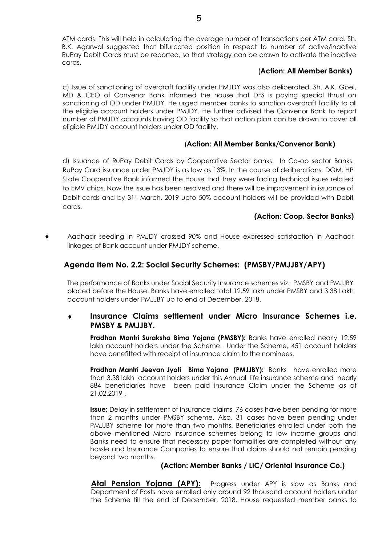ATM cards. This will help in calculating the average number of transactions per ATM card. Sh. B.K. Agarwal suggested that bifurcated position in respect to number of active/inactive RuPay Debit Cards must be reported, so that strategy can be drawn to activate the inactive cards.

#### (**Action: All Member Banks)**

c) Issue of sanctioning of overdraft facility under PMJDY was also deliberated. Sh. A.K. Goel, MD & CEO of Convenor Bank informed the house that DFS is paying special thrust on sanctioning of OD under PMJDY. He urged member banks to sanction overdraft facility to all the eligible account holders under PMJDY. He further advised the Convenor Bank to report number of PMJDY accounts having OD facility so that action plan can be drawn to cover all eligible PMJDY account holders under OD facility.

# (**Action: All Member Banks/Convenor Bank)**

d) Issuance of RuPay Debit Cards by Cooperative Sector banks. In Co-op sector Banks. RuPay Card issuance under PMJDY is as low as 13%. In the course of deliberations, DGM, HP State Cooperative Bank informed the House that they were facing technical issues related to EMV chips. Now the issue has been resolved and there will be improvement in issuance of Debit cards and by 31st March, 2019 upto 50% account holders will be provided with Debit cards.

## **(Action: Coop. Sector Banks)**

 Aadhaar seeding in PMJDY crossed 90% and House expressed satisfaction in Aadhaar linkages of Bank account under PMJDY scheme.

# **Agenda Item No. 2.2: Social Security Schemes: (PMSBY/PMJJBY/APY)**

The performance of Banks under Social Security Insurance schemes viz. PMSBY and PMJJBY placed before the House. Banks have enrolled total 12.59 lakh under PMSBY and 3.38 Lakh account holders under PMJJBY up to end of December, 2018.

## **Insurance Claims settlement under Micro Insurance Schemes i.e. PMSBY & PMJJBY.**

**Pradhan Mantri Suraksha Bima Yojana (PMSBY):** Banks have enrolled nearly 12.59 lakh account holders under the Scheme. Under the Scheme, 451 account holders have benefitted with receipt of insurance claim to the nominees.

**Pradhan Mantri Jeevan Jyoti Bima Yojana (PMJJBY):** Banks have enrolled more than 3.38 lakh account holders under this Annual life insurance scheme and nearly 884 beneficiaries have been paid insurance Claim under the Scheme as of 21.02.2019 .

**Issue;** Delay in settlement of Insurance claims, 76 cases have been pending for more than 2 months under PMSBY scheme. Also, 31 cases have been pending under PMJJBY scheme for more than two months. Beneficiaries enrolled under both the above mentioned Micro Insurance schemes belong to low income groups and Banks need to ensure that necessary paper formalities are completed without any hassle and Insurance Companies to ensure that claims should not remain pending beyond two months.

#### **(Action: Member Banks / LIC/ Oriental insurance Co.)**

Atal Pension Yojana (APY): Progress under APY is slow as Banks and Department of Posts have enrolled only around 92 thousand account holders under the Scheme till the end of December, 2018. House requested member banks to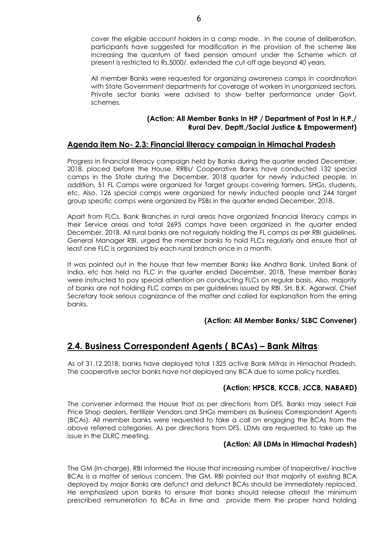cover the eligible account holders in a camp mode. In the course of deliberation, participants have suggested for modification in the provision of the scheme like increasing the quantum of fixed pension amount under the Scheme which at present is restricted to Rs.5000/, extended the cut-off age beyond 40 years.

All member Banks were requested for organizing awareness camps in coordination with State Government departments for coverage of workers in unorganized sectors. Private sector banks were advised to show better performance under Govt. schemes.

## **(Action: All Member Banks In HP / Department of Post in H.P./ Rural Dev. Deptt./Social Justice & Empowerment)**

# **Agenda item No- 2.3: Financial literacy campaign in Himachal Pradesh**

Progress in financial literacy campaign held by Banks during the quarter ended December, 2018, placed before the House. RRBs/ Cooperative Banks have conducted 132 special camps in the State during the December, 2018 quarter for newly inducted people. In addition, 51 FL Camps were organized for Target groups covering farmers, SHGs, students, etc. Also, 126 special camps were organized for newly inducted people and 244 target group specific camps were organized by PSBs in the quarter ended December, 2018.

Apart from FLCs, Bank Branches in rural areas have organized financial literacy camps in their Service areas and total 2695 camps have been organized in the quarter ended December, 2018. All rural banks are not regularly holding the FL camps as per RBI guidelines. General Manager RBI, urged the member banks to hold FLCs regularly and ensure that at least one FLC is organized by each rural branch once in a month.

It was pointed out in the house that few member Banks like Andhra Bank, United Bank of India, etc has held no FLC in the quarter ended December, 2018. These member Banks were instructed to pay special attention on conducting FLCs on regular basis. Also, majority of banks are not holding FLC camps as per guidelines issued by RBI. SH. B.K. Agarwal, Chief Secretary took serious cognizance of the matter and called for explanation from the erring banks.

# **(Action: All Member Banks/ SLBC Convener)**

# **2.4. Business Correspondent Agents ( BCAs) – Bank Mitras**:

As of 31.12.2018, banks have deployed total 1325 active Bank Mitras in Himachal Pradesh. The cooperative sector banks have not deployed any BCA due to some policy hurdles.

# **(Action: HPSCB, KCCB, JCCB, NABARD)**

The convener informed the House that as per directions from DFS, Banks may select Fair Price Shop dealers, Fertilizer Vendors and SHGs members as Business Correspondent Agents (BCAs). All member banks were requested to take a call on engaging the BCAs from the above referred categories. As per directions from DFS, LDMs are requested to take up the issue in the DLRC meeting.

#### **(Action: All LDMs in Himachal Pradesh)**

The GM (In-charge), RBI informed the House that increasing number of Inoperative/ inactive BCAs is a matter of serious concern. The GM, RBI pointed out that majority of existing BCA deployed by major Banks are defunct and defunct BCAs should be immediately replaced. He emphasized upon banks to ensure that banks should release atleast the minimum prescribed remuneration to BCAs in time and provide them the proper hand holding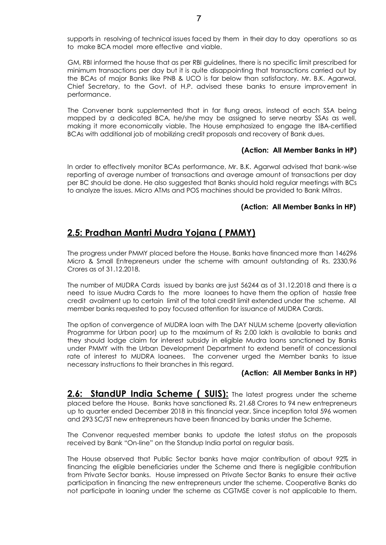supports in resolving of technical issues faced by them in their day to day operations so as to make BCA model more effective and viable.

GM, RBI informed the house that as per RBI guidelines, there is no specific limit prescribed for minimum transactions per day but it is quite disappointing that transactions carried out by the BCAs of major Banks like PNB & UCO is far below than satisfactory. Mr. B.K. Agarwal, Chief Secretary, to the Govt. of H.P. advised these banks to ensure improvement in performance.

The Convener bank supplemented that in far flung areas, instead of each SSA being mapped by a dedicated BCA, he/she may be assigned to serve nearby SSAs as well, making it more economically viable. The House emphasized to engage the IBA-certified BCAs with additional job of mobilizing credit proposals and recovery of Bank dues.

#### **(Action: All Member Banks in HP)**

In order to effectively monitor BCAs performance, Mr. B.K. Agarwal advised that bank-wise reporting of average number of transactions and average amount of transactions per day per BC should be done. He also suggested that Banks should hold regular meetings with BCs to analyze the issues. Micro ATMs and POS machines should be provided to Bank Mitras.

## **(Action: All Member Banks in HP)**

# **2.5: Pradhan Mantri Mudra Yojana ( PMMY)**

The progress under PMMY placed before the House. Banks have financed more than 146296 Micro & Small Entrepreneurs under the scheme with amount outstanding of Rs. 2330.96 Crores as of 31.12.2018.

The number of MUDRA Cards issued by banks are just 56244 as of 31.12.2018 and there is a need to issue Mudra Cards to the more loanees to have them the option of hassle free credit availment up to certain limit of the total credit limit extended under the scheme. All member banks requested to pay focused attention for issuance of MUDRA Cards.

The option of convergence of MUDRA loan with The DAY NULM scheme (poverty alleviation Programme for Urban poor) up to the maximum of Rs 2.00 lakh is available to banks and they should lodge claim for interest subsidy in eligible Mudra loans sanctioned by Banks under PMMY with the Urban Development Department to extend benefit of concessional rate of interest to MUDRA loanees. The convener urged the Member banks to issue necessary instructions to their branches in this regard.

#### **(Action: All Member Banks in HP)**

**2.6: StandUP India Scheme ( SUIS):** The latest progress under the scheme placed before the House. Banks have sanctioned Rs. 21.68 Crores to 94 new entrepreneurs up to quarter ended December 2018 in this financial year. Since inception total 596 women and 293 SC/ST new entrepreneurs have been financed by banks under the Scheme.

The Convenor requested member banks to update the latest status on the proposals received by Bank "On-line" on the Standup India portal on regular basis.

The House observed that Public Sector banks have major contribution of about 92% in financing the eligible beneficiaries under the Scheme and there is negligible contribution from Private Sector banks. House impressed on Private Sector Banks to ensure their active participation in financing the new entrepreneurs under the scheme. Cooperative Banks do not participate in loaning under the scheme as CGTMSE cover is not applicable to them.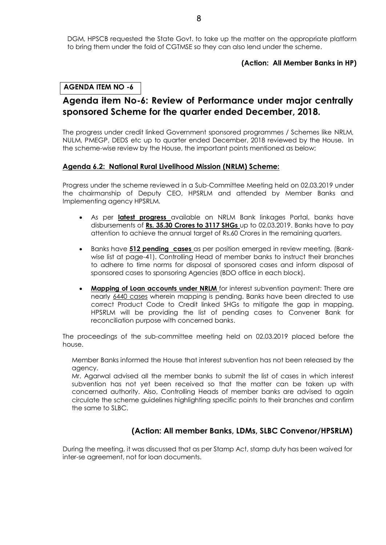DGM, HPSCB requested the State Govt. to take up the matter on the appropriate platform to bring them under the fold of CGTMSE so they can also lend under the scheme.

#### **(Action: All Member Banks in HP)**

## **AGENDA ITEM NO -6**

# **Agenda item No-6: Review of Performance under major centrally sponsored Scheme for the quarter ended December, 2018.**

The progress under credit linked Government sponsored programmes / Schemes like NRLM, NULM, PMEGP, DEDS etc up to quarter ended December, 2018 reviewed by the House. In the scheme-wise review by the House, the important points mentioned as below;

#### **Agenda 6.2: National Rural Livelihood Mission (NRLM) Scheme:**

Progress under the scheme reviewed in a Sub-Committee Meeting held on 02.03.2019 under the chairmanship of Deputy CEO, HPSRLM and attended by Member Banks and Implementing agency HPSRLM.

- As per **latest progress** available on NRLM Bank linkages Portal, banks have disbursements of **Rs. 35.30 Crores to 3117 SHGs** up to 02.03.2019. Banks have to pay attention to achieve the annual target of Rs.60 Crores in the remaining quarters.
- Banks have **512 pending cases** as per position emerged in review meeting. (Bankwise list at page-41). Controlling Head of member banks to instruct their branches to adhere to time norms for disposal of sponsored cases and inform disposal of sponsored cases to sponsoring Agencies (BDO office in each block).
- **Mapping of Loan accounts under NRLM** for interest subvention payment: There are nearly 6440 cases wherein mapping is pending. Banks have been directed to use correct Product Code to Credit linked SHGs to mitigate the gap in mapping. HPSRLM will be providing the list of pending cases to Convener Bank for reconciliation purpose with concerned banks.

The proceedings of the sub-committee meeting held on 02.03.2019 placed before the house.

Member Banks informed the House that interest subvention has not been released by the agency.

 Mr. Agarwal advised all the member banks to submit the list of cases in which interest subvention has not yet been received so that the matter can be taken up with concerned authority. Also, Controlling Heads of member banks are advised to again circulate the scheme guidelines highlighting specific points to their branches and confirm the same to SLBC.

# **(Action: All member Banks, LDMs, SLBC Convenor/HPSRLM)**

During the meeting, it was discussed that as per Stamp Act, stamp duty has been waived for inter-se agreement, not for loan documents.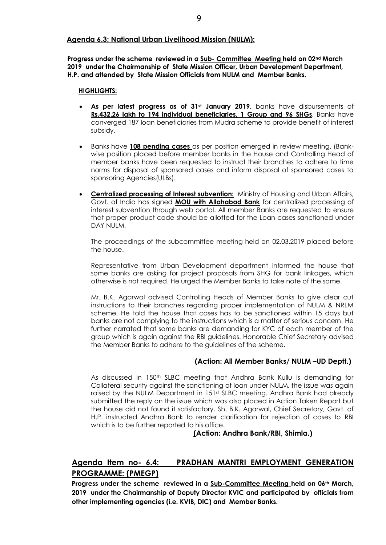### **Agenda 6.3: National Urban Livelihood Mission (NULM):**

**Progress under the scheme reviewed in a Sub- Committee Meeting held on 02nd March 2019 under the Chairmanship of State Mission Officer, Urban Development Department, H.P. and attended by State Mission Officials from NULM and Member Banks.** 

#### **HIGHLIGHTS:**

- **As per latest progress as of 31st January 2019**, banks have disbursements of **Rs.432.26 lakh to 194 individual beneficiaries, 1 Group and 96 SHGs**. Banks have converged 187 loan beneficiaries from Mudra scheme to provide benefit of interest subsidy.
- Banks have **108 pending cases** as per position emerged in review meeting. (Bankwise position placed before member banks in the House and Controlling Head of member banks have been requested to instruct their branches to adhere to time norms for disposal of sponsored cases and inform disposal of sponsored cases to sponsoring Agencies(ULBs).
- **Centralized processing of Interest subvention:** Ministry of Housing and Urban Affairs, Govt. of India has signed **MOU with Allahabad Bank** for centralized processing of interest subvention through web portal. All member Banks are requested to ensure that proper product code should be allotted for the Loan cases sanctioned under DAY NULM.

The proceedings of the subcommittee meeting held on 02.03.2019 placed before the house.

Representative from Urban Development department informed the house that some banks are asking for project proposals from SHG for bank linkages, which otherwise is not required. He urged the Member Banks to take note of the same.

Mr. B.K. Agarwal advised Controlling Heads of Member Banks to give clear cut instructions to their branches regarding proper implementation of NULM & NRLM scheme. He told the house that cases has to be sanctioned within 15 days but banks are not complying to the instructions which is a matter of serious concern. He further narrated that some banks are demanding for KYC of each member of the group which is again against the RBI guidelines. Honorable Chief Secretary advised the Member Banks to adhere to the guidelines of the scheme.

# **(Action: All Member Banks/ NULM –UD Deptt.)**

As discussed in 150th SLBC meeting that Andhra Bank Kullu is demanding for Collateral security against the sanctioning of loan under NULM, the issue was again raised by the NULM Department in 151<sup>st</sup> SLBC meeting. Andhra Bank had already submitted the reply on the issue which was also placed in Action Taken Report but the house did not found it satisfactory. Sh. B.K. Agarwal, Chief Secretary, Govt. of H.P. instructed Andhra Bank to render clarification for rejection of cases to RBI which is to be further reported to his office.

#### **(Action: Andhra Bank/RBI, Shimla.)**

# **Agenda Item no- 6.4: PRADHAN MANTRI EMPLOYMENT GENERATION PROGRAMME: (PMEGP)**

**Progress under the scheme reviewed in a Sub-Committee Meeting held on 06th March, 2019 under the Chairmanship of Deputy Director KVIC and participated by officials from other implementing agencies (i.e. KVIB, DIC) and Member Banks.**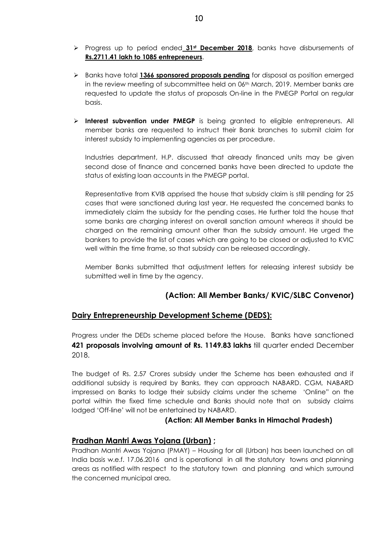- Progress up to period ended **31st December 2018**, banks have disbursements of **Rs.2711.41 lakh to 1085 entrepreneurs**.
- Banks have total **1366 sponsored proposals pending** for disposal as position emerged in the review meeting of subcommittee held on 06<sup>th</sup> March, 2019. Member banks are requested to update the status of proposals On-line in the PMEGP Portal on regular basis.
- **Interest subvention under PMEGP** is being granted to eligible entrepreneurs. All member banks are requested to instruct their Bank branches to submit claim for interest subsidy to implementing agencies as per procedure.

Industries department, H.P. discussed that already financed units may be given second dose of finance and concerned banks have been directed to update the status of existing loan accounts in the PMEGP portal.

Representative from KVIB apprised the house that subsidy claim is still pending for 25 cases that were sanctioned during last year. He requested the concerned banks to immediately claim the subsidy for the pending cases. He further told the house that some banks are charging interest on overall sanction amount whereas it should be charged on the remaining amount other than the subsidy amount. He urged the bankers to provide the list of cases which are going to be closed or adjusted to KVIC well within the time frame, so that subsidy can be released accordingly.

Member Banks submitted that adjustment letters for releasing interest subsidy be submitted well in time by the agency.

# **(Action: All Member Banks/ KVIC/SLBC Convenor)**

# **Dairy Entrepreneurship Development Scheme (DEDS):**

Progress under the DEDs scheme placed before the House. Banks have sanctioned **421 proposals involving amount of Rs. 1149.83 lakhs** till quarter ended December 2018.

The budget of Rs. 2.57 Crores subsidy under the Scheme has been exhausted and if additional subsidy is required by Banks, they can approach NABARD. CGM, NABARD impressed on Banks to lodge their subsidy claims under the scheme 'Online" on the portal within the fixed time schedule and Banks should note that on subsidy claims lodged 'Off-line' will not be entertained by NABARD.

#### **(Action: All Member Banks in Himachal Pradesh)**

# **Pradhan Mantri Awas Yojana (Urban) ;**

Pradhan Mantri Awas Yojana (PMAY) – Housing for all (Urban) has been launched on all India basis w.e.f. 17.06.2016 and is operational in all the statutory towns and planning areas as notified with respect to the statutory town and planning and which surround the concerned municipal area.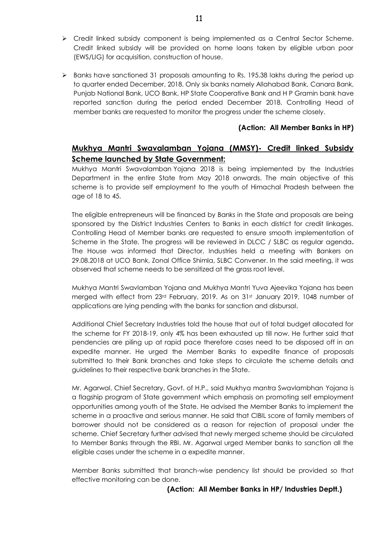- Credit linked subsidy component is being implemented as a Central Sector Scheme. Credit linked subsidy will be provided on home loans taken by eligible urban poor (EWS/LIG) for acquisition, construction of house.
- $\triangleright$  Banks have sanctioned 31 proposals amounting to Rs. 195.38 lakhs during the period up to quarter ended December, 2018. Only six banks namely Allahabad Bank, Canara Bank, Punjab National Bank, UCO Bank, HP State Cooperative Bank and H P Gramin bank have reported sanction during the period ended December 2018. Controlling Head of member banks are requested to monitor the progress under the scheme closely.

## **(Action: All Member Banks in HP)**

# **Mukhya Mantri Swavalamban Yojana (MMSY)- Credit linked Subsidy Scheme launched by State Government:**

Mukhya Mantri Swavalamban Yojana 2018 is being implemented by the Industries Department in the entire State from May 2018 onwards. The main objective of this scheme is to provide self employment to the youth of Himachal Pradesh between the age of 18 to 45.

The eligible entrepreneurs will be financed by Banks in the State and proposals are being sponsored by the District Industries Centers to Banks in each district for credit linkages. Controlling Head of Member banks are requested to ensure smooth implementation of Scheme in the State. The progress will be reviewed in DLCC / SLBC as regular agenda**.** The House was informed that Director, Industries held a meeting with Bankers on 29.08.2018 at UCO Bank, Zonal Office Shimla, SLBC Convener. In the said meeting, it was observed that scheme needs to be sensitized at the grass root level.

Mukhya Mantri Swavlamban Yojana and Mukhya Mantri Yuva Ajeevika Yojana has been merged with effect from 23rd February, 2019. As on 31st January 2019, 1048 number of applications are lying pending with the banks for sanction and disbursal.

Additional Chief Secretary Industries told the house that out of total budget allocated for the scheme for FY 2018-19, only 4% has been exhausted up till now. He further said that pendencies are piling up at rapid pace therefore cases need to be disposed off in an expedite manner. He urged the Member Banks to expedite finance of proposals submitted to their Bank branches and take steps to circulate the scheme details and guidelines to their respective bank branches in the State.

Mr. Agarwal, Chief Secretary, Govt. of H.P., said Mukhya mantra Swavlambhan Yojana is a flagship program of State government which emphasis on promoting self employment opportunities among youth of the State. He advised the Member Banks to implement the scheme in a proactive and serious manner. He said that CIBIL score of family members of borrower should not be considered as a reason for rejection of proposal under the scheme. Chief Secretary further advised that newly merged scheme should be circulated to Member Banks through the RBI. Mr. Agarwal urged Member banks to sanction all the eligible cases under the scheme in a expedite manner.

Member Banks submitted that branch-wise pendency list should be provided so that effective monitoring can be done.

#### **(Action: All Member Banks in HP/ Industries Deptt.)**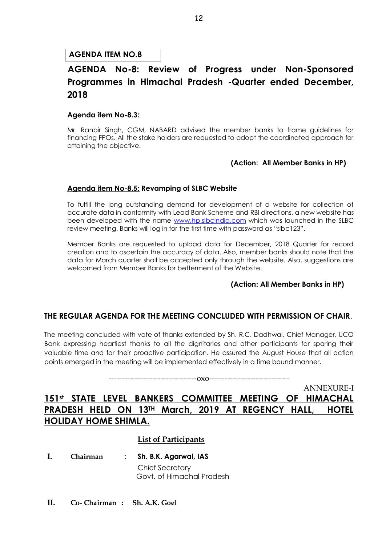# **AGENDA ITEM NO.8**

# **AGENDA No-8: Review of Progress under Non-Sponsored Programmes in Himachal Pradesh -Quarter ended December, 2018**

### **Agenda item No-8.3:**

Mr. Ranbir Singh, CGM, NABARD advised the member banks to frame guidelines for financing FPOs. All the stake holders are requested to adopt the coordinated approach for attaining the objective.

#### **(Action: All Member Banks in HP)**

## **Agenda item No-8.5: Revamping of SLBC Website**

To fulfill the long outstanding demand for development of a website for collection of accurate data in conformity with Lead Bank Scheme and RBI directions, a new website has been developed with the name [www.hp.slbcindia.com](http://www.hp.slbcindia.com/) which was launched in the SLBC review meeting. Banks will log in for the first time with password as "slbc123".

Member Banks are requested to upload data for December, 2018 Quarter for record creation and to ascertain the accuracy of data. Also, member banks should note that the data for March quarter shall be accepted only through the website. Also, suggestions are welcomed from Member Banks for betterment of the Website.

#### **(Action: All Member Banks in HP)**

# **THE REGULAR AGENDA FOR THE MEETING CONCLUDED WITH PERMISSION OF CHAIR**.

The meeting concluded with vote of thanks extended by Sh. R.C. Dadhwal, Chief Manager, UCO Bank expressing heartiest thanks to all the dignitaries and other participants for sparing their valuable time and for their proactive participation. He assured the August House that all action points emerged in the meeting will be implemented effectively in a time bound manner.

----------------------------------oxo-------------------------------

ANNEXURE-I

# **151st STATE LEVEL BANKERS COMMITTEE MEETING OF HIMACHAL PRADESH HELD ON 13TH March, 2019 AT REGENCY HALL, HOTEL HOLIDAY HOME SHIMLA.**

# **List of Participants**

- **I. Chairman** : **Sh. B.K. Agarwal, IAS**  Chief Secretary Govt. of Himachal Pradesh
- **II. Co- Chairman : Sh. A.K. Goel**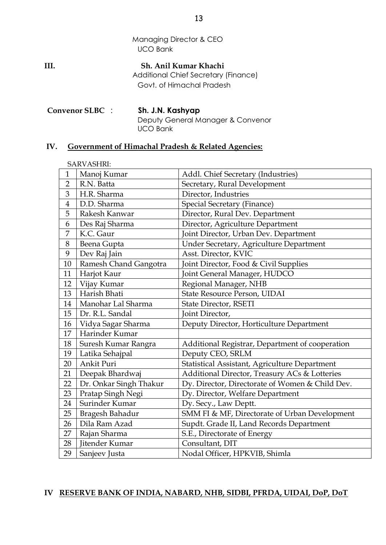Managing Director & CEO UCO Bank

**III. Sh. Anil Kumar Khachi** Additional Chief Secretary (Finance) Govt. of Himachal Pradesh

**Convenor SLBC** : **Sh. J.N. Kashyap** Deputy General Manager & Convenor UCO Bank

# **IV. Government of Himachal Pradesh & Related Agencies:**

|                | SARVASHRI:             |                                                 |
|----------------|------------------------|-------------------------------------------------|
| 1              | Manoj Kumar            | Addl. Chief Secretary (Industries)              |
| $\overline{2}$ | R.N. Batta             | Secretary, Rural Development                    |
| 3              | H.R. Sharma            | Director, Industries                            |
| $\overline{4}$ | D.D. Sharma            | <b>Special Secretary (Finance)</b>              |
| 5              | Rakesh Kanwar          | Director, Rural Dev. Department                 |
| 6              | Des Raj Sharma         | Director, Agriculture Department                |
| 7              | K.C. Gaur              | Joint Director, Urban Dev. Department           |
| 8              | Beena Gupta            | Under Secretary, Agriculture Department         |
| 9              | Dev Raj Jain           | Asst. Director, KVIC                            |
| 10             | Ramesh Chand Gangotra  | Joint Director, Food & Civil Supplies           |
| 11             | Harjot Kaur            | Joint General Manager, HUDCO                    |
| 12             | Vijay Kumar            | Regional Manager, NHB                           |
| 13             | Harish Bhati           | State Resource Person, UIDAI                    |
| 14             | Manohar Lal Sharma     | State Director, RSETI                           |
| 15             | Dr. R.L. Sandal        | Joint Director,                                 |
| 16             | Vidya Sagar Sharma     | Deputy Director, Horticulture Department        |
| 17             | Harinder Kumar         |                                                 |
| $18\,$         | Suresh Kumar Rangra    | Additional Registrar, Department of cooperation |
| 19             | Latika Sehajpal        | Deputy CEO, SRLM                                |
| 20             | Ankit Puri             | Statistical Assistant, Agriculture Department   |
| 21             | Deepak Bhardwaj        | Additional Director, Treasury ACs & Lotteries   |
| 22             | Dr. Onkar Singh Thakur | Dy. Director, Directorate of Women & Child Dev. |
| 23             | Pratap Singh Negi      | Dy. Director, Welfare Department                |
| 24             | Surinder Kumar         | Dy. Secy., Law Deptt.                           |
| 25             | Bragesh Bahadur        | SMM FI & MF, Directorate of Urban Development   |
| 26             | Dila Ram Azad          | Supdt. Grade II, Land Records Department        |
| 27             | Rajan Sharma           | S.E., Directorate of Energy                     |
| 28             | Jitender Kumar         | Consultant, DIT                                 |
| 29             | Sanjeev Justa          | Nodal Officer, HPKVIB, Shimla                   |

#### **IV RESERVE BANK OF INDIA, NABARD, NHB, SIDBI, PFRDA, UIDAI, DoP, DoT**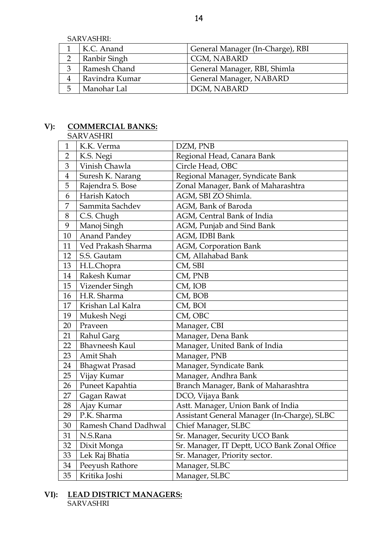SARVASHRI:

|   | K.C. Anand     | General Manager (In-Charge), RBI |
|---|----------------|----------------------------------|
|   | Ranbir Singh   | CGM, NABARD                      |
|   | Ramesh Chand   | General Manager, RBI, Shimla     |
|   | Ravindra Kumar | General Manager, NABARD          |
| ს | Manohar Lal    | DGM, NABARD                      |

# **V): COMMERCIAL BANKS:**

**SARVASHRI** 

| $\mathbf{1}$   | K.K. Verma            | DZM, PNB                                     |
|----------------|-----------------------|----------------------------------------------|
| $\overline{2}$ | K.S. Negi             | Regional Head, Canara Bank                   |
| 3              | Vinish Chawla         | Circle Head, OBC                             |
| $\overline{4}$ | Suresh K. Narang      | Regional Manager, Syndicate Bank             |
| 5              | Rajendra S. Bose      | Zonal Manager, Bank of Maharashtra           |
| 6              | Harish Katoch         | AGM, SBI ZO Shimla.                          |
| 7              | Sammita Sachdev       | AGM, Bank of Baroda                          |
| 8              | C.S. Chugh            | AGM, Central Bank of India                   |
| 9              | Manoj Singh           | AGM, Punjab and Sind Bank                    |
| 10             | <b>Anand Pandey</b>   | AGM, IDBI Bank                               |
| 11             | Ved Prakash Sharma    | AGM, Corporation Bank                        |
| 12             | S.S. Gautam           | CM, Allahabad Bank                           |
| 13             | H.L.Chopra            | CM, SBI                                      |
| 14             | Rakesh Kumar          | CM, PNB                                      |
| 15             | Vizender Singh        | CM, IOB                                      |
| 16             | H.R. Sharma           | CM, BOB                                      |
| 17             | Krishan Lal Kalra     | CM, BOI                                      |
| 19             | Mukesh Negi           | CM, OBC                                      |
| 20             | Praveen               | Manager, CBI                                 |
| 21             | Rahul Garg            | Manager, Dena Bank                           |
| 22             | <b>Bhavneesh Kaul</b> | Manager, United Bank of India                |
| 23             | Amit Shah             | Manager, PNB                                 |
| 24             | <b>Bhagwat Prasad</b> | Manager, Syndicate Bank                      |
| 25             | Vijay Kumar           | Manager, Andhra Bank                         |
| 26             | Puneet Kapahtia       | Branch Manager, Bank of Maharashtra          |
| 27             | Gagan Rawat           | DCO, Vijaya Bank                             |
| 28             | Ajay Kumar            | Astt. Manager, Union Bank of India           |
| 29             | P.K. Sharma           | Assistant General Manager (In-Charge), SLBC  |
| 30             | Ramesh Chand Dadhwal  | Chief Manager, SLBC                          |
| 31             | N.S.Rana              | Sr. Manager, Security UCO Bank               |
| 32             | Dixit Monga           | Sr. Manager, IT Deptt, UCO Bank Zonal Office |
| 33             | Lek Raj Bhatia        | Sr. Manager, Priority sector.                |
| 34             | Peeyush Rathore       | Manager, SLBC                                |
| 35             | Kritika Joshi         | Manager, SLBC                                |

**VI): LEAD DISTRICT MANAGERS: SARVASHRI**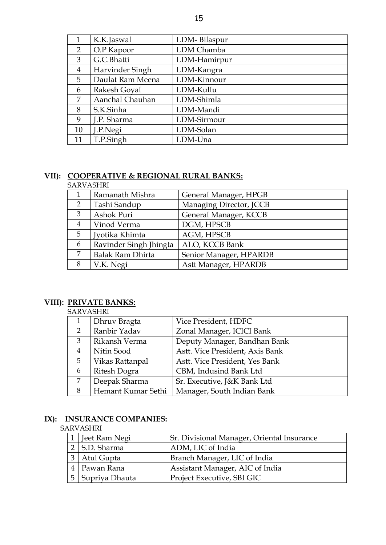| ×<br>۰, |  |  |
|---------|--|--|
|         |  |  |

| 1              | K.K.Jaswal       | LDM-Bilaspur |
|----------------|------------------|--------------|
| 2              | O.P Kapoor       | LDM Chamba   |
| 3              | G.C.Bhatti       | LDM-Hamirpur |
| $\overline{4}$ | Harvinder Singh  | LDM-Kangra   |
| 5              | Daulat Ram Meena | LDM-Kinnour  |
| 6              | Rakesh Goyal     | LDM-Kullu    |
| 7              | Aanchal Chauhan  | LDM-Shimla   |
| 8              | S.K.Sinha        | LDM-Mandi    |
| 9              | J.P. Sharma      | LDM-Sirmour  |
| 10             | J.P.Negi         | LDM-Solan    |
| 11             | T.P.Singh        | LDM-Una      |

# **VII): COOPERATIVE & REGIONAL RURAL BANKS:**

#### SARVASHRI

|   | Ramanath Mishra         | General Manager, HPGB   |  |
|---|-------------------------|-------------------------|--|
| 2 | Tashi Sandup            | Managing Director, JCCB |  |
| 3 | Ashok Puri              | General Manager, KCCB   |  |
| 4 | Vinod Verma             | DGM, HPSCB              |  |
| 5 | Jyotika Khimta          | <b>AGM, HPSCB</b>       |  |
| 6 | Ravinder Singh Jhingta  | ALO, KCCB Bank          |  |
| 7 | <b>Balak Ram Dhirta</b> | Senior Manager, HPARDB  |  |
| 8 | V.K. Negi               | Astt Manager, HPARDB    |  |

# **VIII): PRIVATE BANKS:**

#### SARVASHRI

| 1              | Dhruv Bragta       | Vice President, HDFC            |  |
|----------------|--------------------|---------------------------------|--|
| $\overline{2}$ | Ranbir Yadav       | Zonal Manager, ICICI Bank       |  |
| 3              | Rikansh Verma      | Deputy Manager, Bandhan Bank    |  |
| $\overline{4}$ | Nitin Sood         | Astt. Vice President, Axis Bank |  |
| 5              | Vikas Rattanpal    | Astt. Vice President, Yes Bank  |  |
| 6              | Ritesh Dogra       | CBM, Indusind Bank Ltd          |  |
| 7              | Deepak Sharma      | Sr. Executive, J&K Bank Ltd     |  |
| 8              | Hemant Kumar Sethi | Manager, South Indian Bank      |  |

# **IX): INSURANCE COMPANIES:**

# SARVASHRI

| Jeet Ram Negi               | Sr. Divisional Manager, Oriental Insurance |
|-----------------------------|--------------------------------------------|
| $2$ S.D. Sharma             | ADM, LIC of India                          |
| 3 Atul Gupta                | Branch Manager, LIC of India               |
| 4   Pawan Rana              | Assistant Manager, AIC of India            |
| <sup>I</sup> Supriya Dhauta | Project Executive, SBI GIC                 |